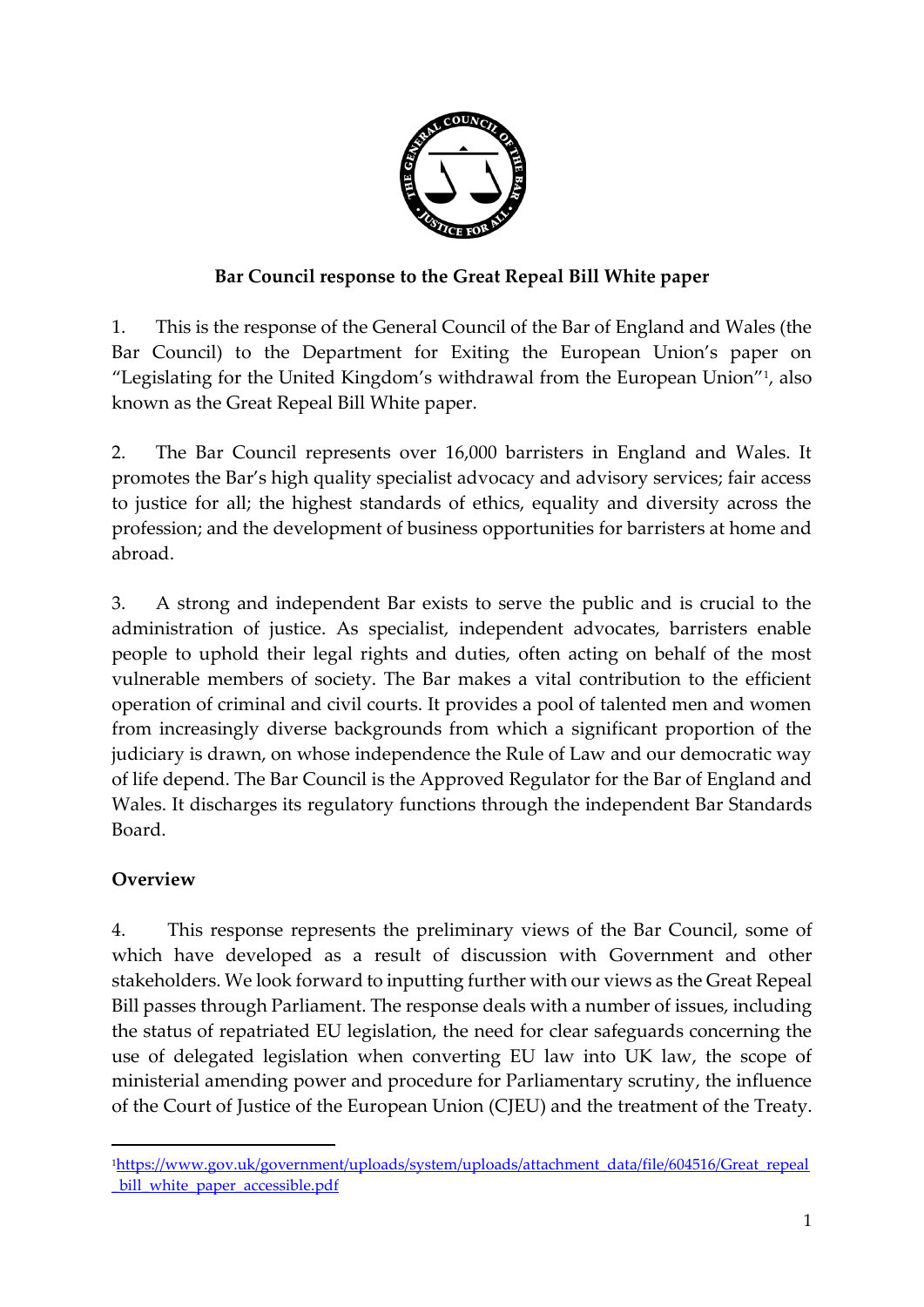

## **Bar Council response to the Great Repeal Bill White paper**

1. This is the response of the General Council of the Bar of England and Wales (the Bar Council) to the Department for Exiting the European Union's paper on "Legislating for the United Kingdom's withdrawal from the European Union"<sup>1</sup> , also known as the Great Repeal Bill White paper.

2. The Bar Council represents over 16,000 barristers in England and Wales. It promotes the Bar's high quality specialist advocacy and advisory services; fair access to justice for all; the highest standards of ethics, equality and diversity across the profession; and the development of business opportunities for barristers at home and abroad.

3. A strong and independent Bar exists to serve the public and is crucial to the administration of justice. As specialist, independent advocates, barristers enable people to uphold their legal rights and duties, often acting on behalf of the most vulnerable members of society. The Bar makes a vital contribution to the efficient operation of criminal and civil courts. It provides a pool of talented men and women from increasingly diverse backgrounds from which a significant proportion of the judiciary is drawn, on whose independence the Rule of Law and our democratic way of life depend. The Bar Council is the Approved Regulator for the Bar of England and Wales. It discharges its regulatory functions through the independent Bar Standards Board.

# **Overview**

1

4. This response represents the preliminary views of the Bar Council, some of which have developed as a result of discussion with Government and other stakeholders. We look forward to inputting further with our views as the Great Repeal Bill passes through Parliament. The response deals with a number of issues, including the status of repatriated EU legislation, the need for clear safeguards concerning the use of delegated legislation when converting EU law into UK law, the scope of ministerial amending power and procedure for Parliamentary scrutiny, the influence of the Court of Justice of the European Union (CJEU) and the treatment of the Treaty.

<sup>1</sup>[https://www.gov.uk/government/uploads/system/uploads/attachment\\_data/file/604516/Great\\_repeal](https://www.gov.uk/government/uploads/system/uploads/attachment_data/file/604516/Great_repeal_bill_white_paper_accessible.pdf) [\\_bill\\_white\\_paper\\_accessible.pdf](https://www.gov.uk/government/uploads/system/uploads/attachment_data/file/604516/Great_repeal_bill_white_paper_accessible.pdf)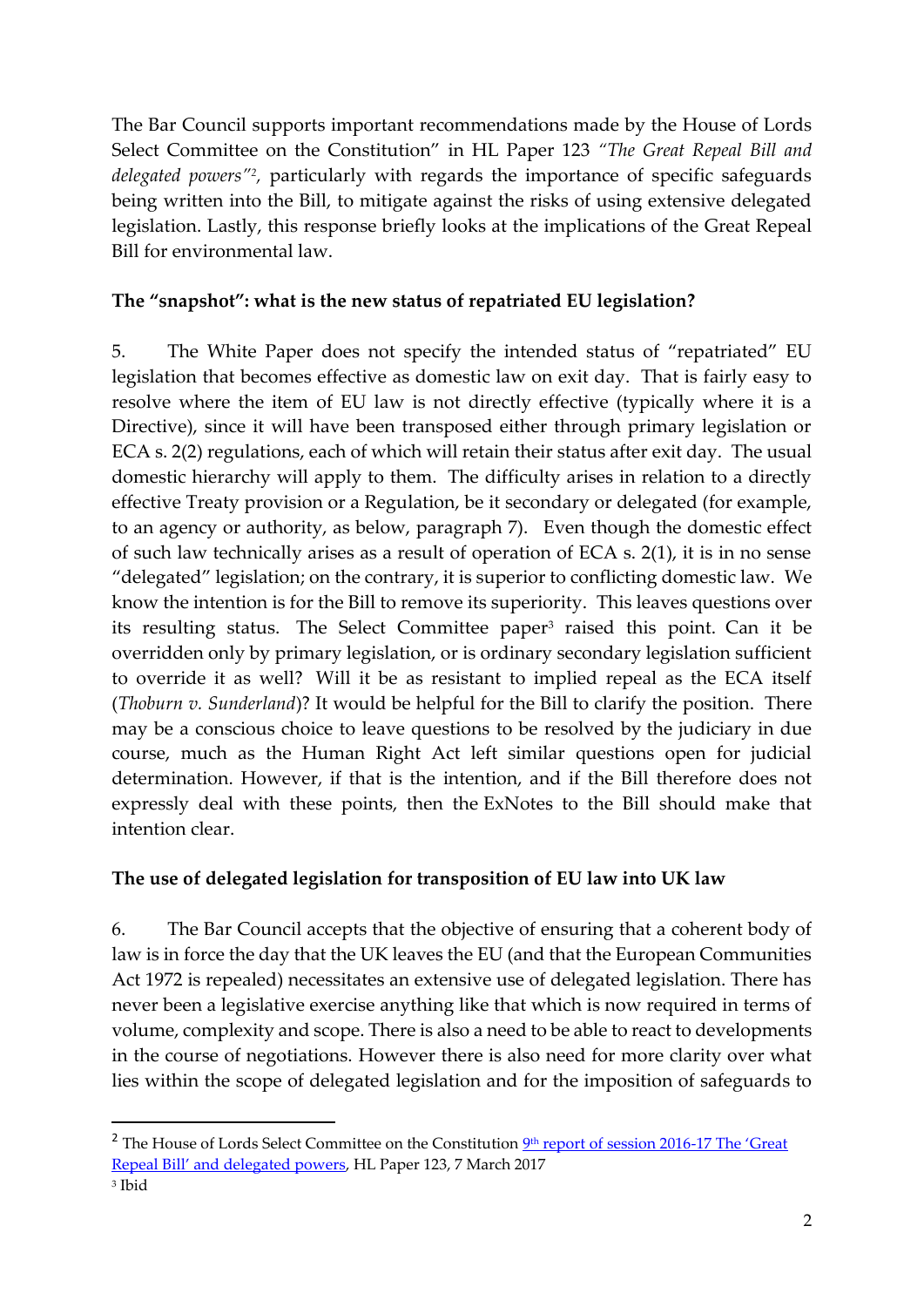The Bar Council supports important recommendations made by the House of Lords Select Committee on the Constitution" in HL Paper 123 *"The Great Repeal Bill and delegated powers"<sup>2</sup> ,* particularly with regards the importance of specific safeguards being written into the Bill, to mitigate against the risks of using extensive delegated legislation. Lastly, this response briefly looks at the implications of the Great Repeal Bill for environmental law.

### **The "snapshot": what is the new status of repatriated EU legislation?**

5. The White Paper does not specify the intended status of "repatriated" EU legislation that becomes effective as domestic law on exit day. That is fairly easy to resolve where the item of EU law is not directly effective (typically where it is a Directive), since it will have been transposed either through primary legislation or ECA s. 2(2) regulations, each of which will retain their status after exit day. The usual domestic hierarchy will apply to them. The difficulty arises in relation to a directly effective Treaty provision or a Regulation, be it secondary or delegated (for example, to an agency or authority, as below, paragraph 7). Even though the domestic effect of such law technically arises as a result of operation of ECA s. 2(1), it is in no sense "delegated" legislation; on the contrary, it is superior to conflicting domestic law. We know the intention is for the Bill to remove its superiority. This leaves questions over its resulting status. The Select Committee paper<sup>3</sup> raised this point. Can it be overridden only by primary legislation, or is ordinary secondary legislation sufficient to override it as well? Will it be as resistant to implied repeal as the ECA itself (*Thoburn v. Sunderland*)? It would be helpful for the Bill to clarify the position. There may be a conscious choice to leave questions to be resolved by the judiciary in due course, much as the Human Right Act left similar questions open for judicial determination. However, if that is the intention, and if the Bill therefore does not expressly deal with these points, then the ExNotes to the Bill should make that intention clear.

## **The use of delegated legislation for transposition of EU law into UK law**

6. The Bar Council accepts that the objective of ensuring that a coherent body of law is in force the day that the UK leaves the EU (and that the European Communities Act 1972 is repealed) necessitates an extensive use of delegated legislation. There has never been a legislative exercise anything like that which is now required in terms of volume, complexity and scope. There is also a need to be able to react to developments in the course of negotiations. However there is also need for more clarity over what lies within the scope of delegated legislation and for the imposition of safeguards to

1

<sup>&</sup>lt;sup>2</sup> The House of Lords Select Committee on the Constitution <sup>9th</sup> [report of session 2016-](https://www.publications.parliament.uk/pa/ld201617/ldselect/ldconst/123/123.pdf)17 The 'Great [Repeal Bill' and delegated powers](https://www.publications.parliament.uk/pa/ld201617/ldselect/ldconst/123/123.pdf), HL Paper 123, 7 March 2017

<sup>3</sup> Ibid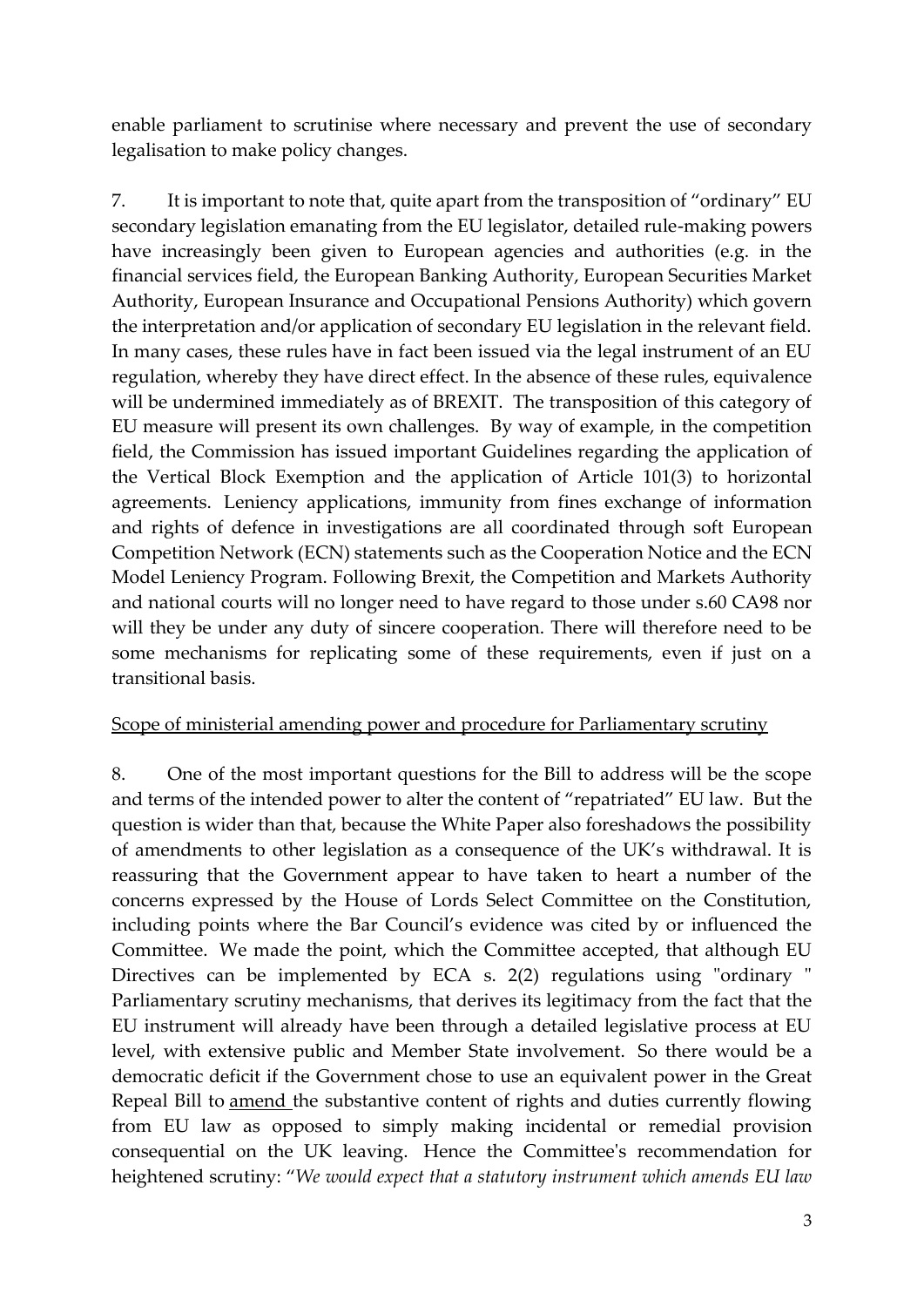enable parliament to scrutinise where necessary and prevent the use of secondary legalisation to make policy changes.

7. It is important to note that, quite apart from the transposition of "ordinary" EU secondary legislation emanating from the EU legislator, detailed rule-making powers have increasingly been given to European agencies and authorities (e.g. in the financial services field, the European Banking Authority, European Securities Market Authority, European Insurance and Occupational Pensions Authority) which govern the interpretation and/or application of secondary EU legislation in the relevant field. In many cases, these rules have in fact been issued via the legal instrument of an EU regulation, whereby they have direct effect. In the absence of these rules, equivalence will be undermined immediately as of BREXIT. The transposition of this category of EU measure will present its own challenges. By way of example, in the competition field, the Commission has issued important Guidelines regarding the application of the Vertical Block Exemption and the application of Article 101(3) to horizontal agreements. Leniency applications, immunity from fines exchange of information and rights of defence in investigations are all coordinated through soft European Competition Network (ECN) statements such as the Cooperation Notice and the ECN Model Leniency Program. Following Brexit, the Competition and Markets Authority and national courts will no longer need to have regard to those under s.60 CA98 nor will they be under any duty of sincere cooperation. There will therefore need to be some mechanisms for replicating some of these requirements, even if just on a transitional basis.

#### Scope of ministerial amending power and procedure for Parliamentary scrutiny

8. One of the most important questions for the Bill to address will be the scope and terms of the intended power to alter the content of "repatriated" EU law. But the question is wider than that, because the White Paper also foreshadows the possibility of amendments to other legislation as a consequence of the UK's withdrawal. It is reassuring that the Government appear to have taken to heart a number of the concerns expressed by the House of Lords Select Committee on the Constitution, including points where the Bar Council's evidence was cited by or influenced the Committee. We made the point, which the Committee accepted, that although EU Directives can be implemented by ECA s. 2(2) regulations using "ordinary " Parliamentary scrutiny mechanisms, that derives its legitimacy from the fact that the EU instrument will already have been through a detailed legislative process at EU level, with extensive public and Member State involvement. So there would be a democratic deficit if the Government chose to use an equivalent power in the Great Repeal Bill to amend the substantive content of rights and duties currently flowing from EU law as opposed to simply making incidental or remedial provision consequential on the UK leaving. Hence the Committee's recommendation for heightened scrutiny: "*We would expect that a statutory instrument which amends EU law*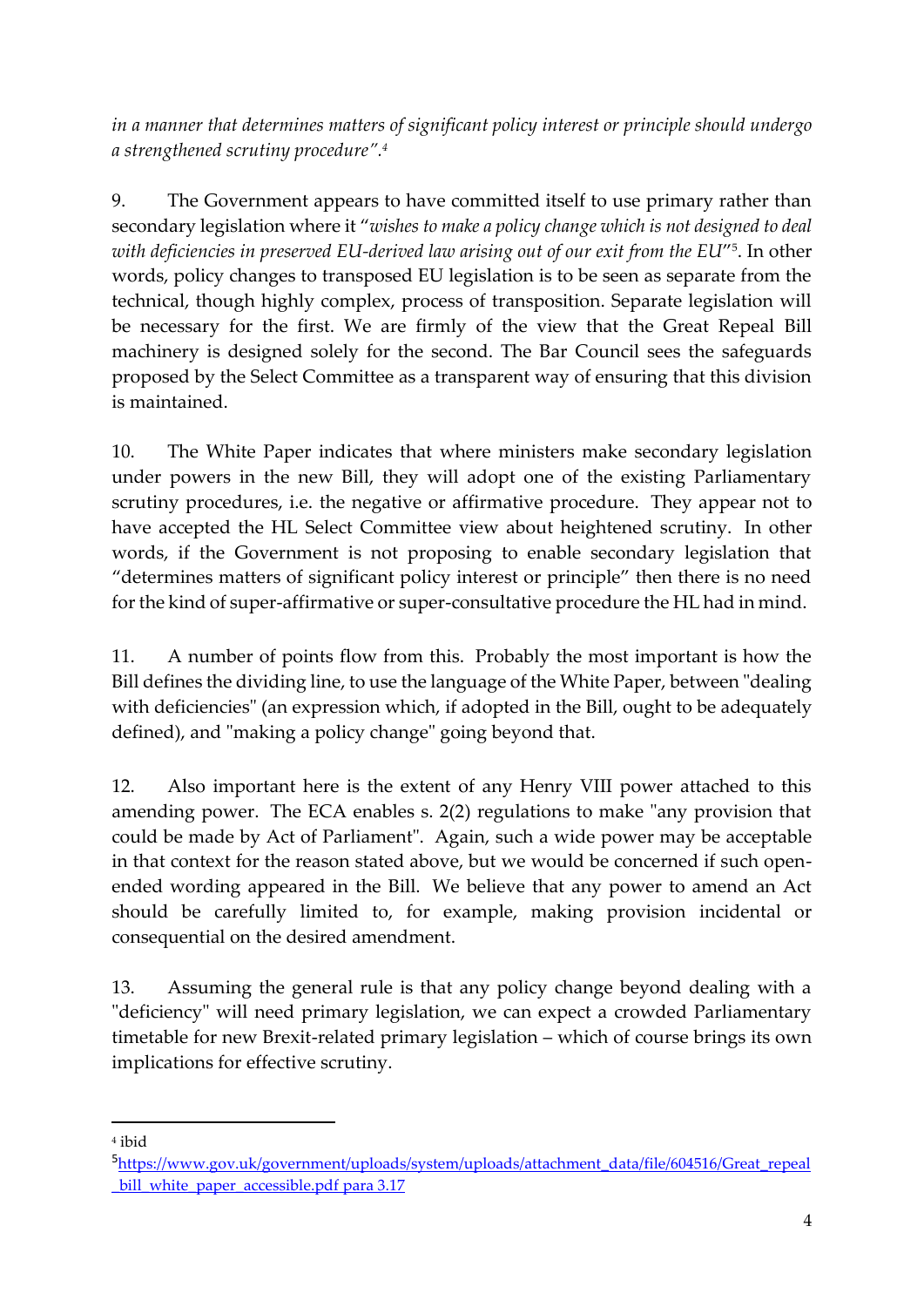*in a manner that determines matters of significant policy interest or principle should undergo a strengthened scrutiny procedure".<sup>4</sup>*

9. The Government appears to have committed itself to use primary rather than secondary legislation where it "*wishes to make a policy change which is not designed to deal with deficiencies in preserved EU-derived law arising out of our exit from the EU*" 5 . In other words, policy changes to transposed EU legislation is to be seen as separate from the technical, though highly complex, process of transposition. Separate legislation will be necessary for the first. We are firmly of the view that the Great Repeal Bill machinery is designed solely for the second. The Bar Council sees the safeguards proposed by the Select Committee as a transparent way of ensuring that this division is maintained.

10. The White Paper indicates that where ministers make secondary legislation under powers in the new Bill, they will adopt one of the existing Parliamentary scrutiny procedures, i.e. the negative or affirmative procedure. They appear not to have accepted the HL Select Committee view about heightened scrutiny. In other words, if the Government is not proposing to enable secondary legislation that "determines matters of significant policy interest or principle" then there is no need for the kind of super-affirmative or super-consultative procedure the HL had in mind.

11. A number of points flow from this. Probably the most important is how the Bill defines the dividing line, to use the language of the White Paper, between "dealing with deficiencies" (an expression which, if adopted in the Bill, ought to be adequately defined), and "making a policy change" going beyond that.

12. Also important here is the extent of any Henry VIII power attached to this amending power. The ECA enables s. 2(2) regulations to make "any provision that could be made by Act of Parliament". Again, such a wide power may be acceptable in that context for the reason stated above, but we would be concerned if such openended wording appeared in the Bill. We believe that any power to amend an Act should be carefully limited to, for example, making provision incidental or consequential on the desired amendment.

13. Assuming the general rule is that any policy change beyond dealing with a "deficiency" will need primary legislation, we can expect a crowded Parliamentary timetable for new Brexit-related primary legislation – which of course brings its own implications for effective scrutiny.

1

<sup>4</sup> ibid

<sup>5</sup>[https://www.gov.uk/government/uploads/system/uploads/attachment\\_data/file/604516/Great\\_repeal](https://www.gov.uk/government/uploads/system/uploads/attachment_data/file/604516/Great_repeal_bill_white_paper_accessible.pdf) bill white paper accessible.pdf para 3.17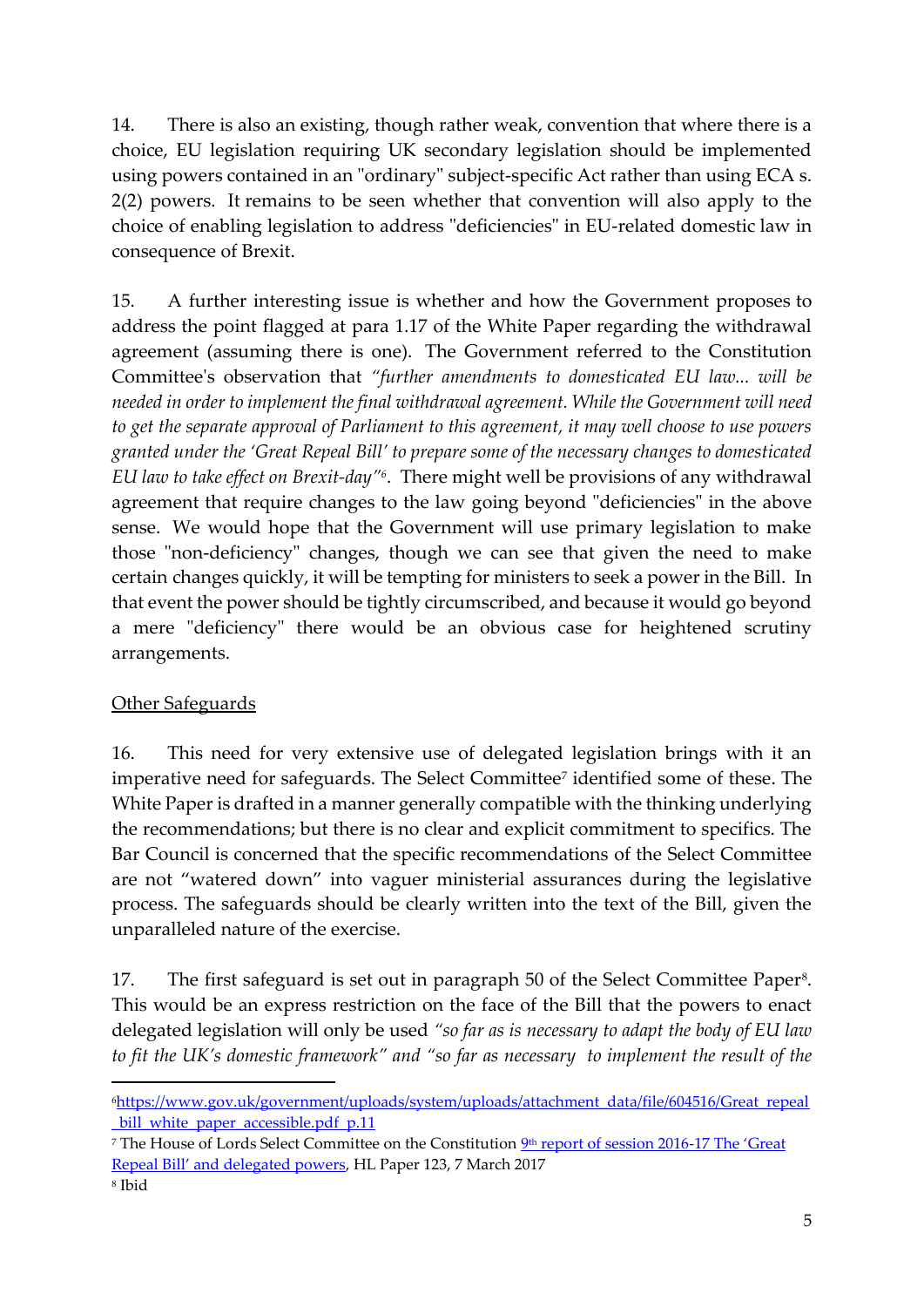14. There is also an existing, though rather weak, convention that where there is a choice, EU legislation requiring UK secondary legislation should be implemented using powers contained in an "ordinary" subject-specific Act rather than using ECA s. 2(2) powers. It remains to be seen whether that convention will also apply to the choice of enabling legislation to address "deficiencies" in EU-related domestic law in consequence of Brexit.

15. A further interesting issue is whether and how the Government proposes to address the point flagged at para 1.17 of the White Paper regarding the withdrawal agreement (assuming there is one). The Government referred to the Constitution Committee's observation that *"further amendments to domesticated EU law... will be needed in order to implement the final withdrawal agreement. While the Government will need to get the separate approval of Parliament to this agreement, it may well choose to use powers granted under the 'Great Repeal Bill' to prepare some of the necessary changes to domesticated EU law to take effect on Brexit-day"<sup>6</sup>* . There might well be provisions of any withdrawal agreement that require changes to the law going beyond "deficiencies" in the above sense. We would hope that the Government will use primary legislation to make those "non-deficiency" changes, though we can see that given the need to make certain changes quickly, it will be tempting for ministers to seek a power in the Bill. In that event the power should be tightly circumscribed, and because it would go beyond a mere "deficiency" there would be an obvious case for heightened scrutiny arrangements.

## Other Safeguards

16. This need for very extensive use of delegated legislation brings with it an imperative need for safeguards. The Select Committee<sup>7</sup> identified some of these. The White Paper is drafted in a manner generally compatible with the thinking underlying the recommendations; but there is no clear and explicit commitment to specifics. The Bar Council is concerned that the specific recommendations of the Select Committee are not "watered down" into vaguer ministerial assurances during the legislative process. The safeguards should be clearly written into the text of the Bill, given the unparalleled nature of the exercise.

17. The first safeguard is set out in paragraph 50 of the Select Committee Paper<sup>8</sup>. This would be an express restriction on the face of the Bill that the powers to enact delegated legislation will only be used *"so far as is necessary to adapt the body of EU law to fit the UK's domestic framework" and "so far as necessary to implement the result of the* 

 $\overline{a}$ 

<sup>6</sup>[https://www.gov.uk/government/uploads/system/uploads/attachment\\_data/file/604516/Great\\_repeal](https://www.gov.uk/government/uploads/system/uploads/attachment_data/file/604516/Great_repeal_bill_white_paper_accessible.pdf) bill white paper accessible.pdf p.11

<sup>&</sup>lt;sup>7</sup> The House of Lords Select Committee on the Constitution <u>9th [report of session 2016-](https://www.publications.parliament.uk/pa/ld201617/ldselect/ldconst/123/123.pdf)17 The 'Great</u> [Repeal Bill' and delegated powers](https://www.publications.parliament.uk/pa/ld201617/ldselect/ldconst/123/123.pdf), HL Paper 123, 7 March 2017

<sup>8</sup> Ibid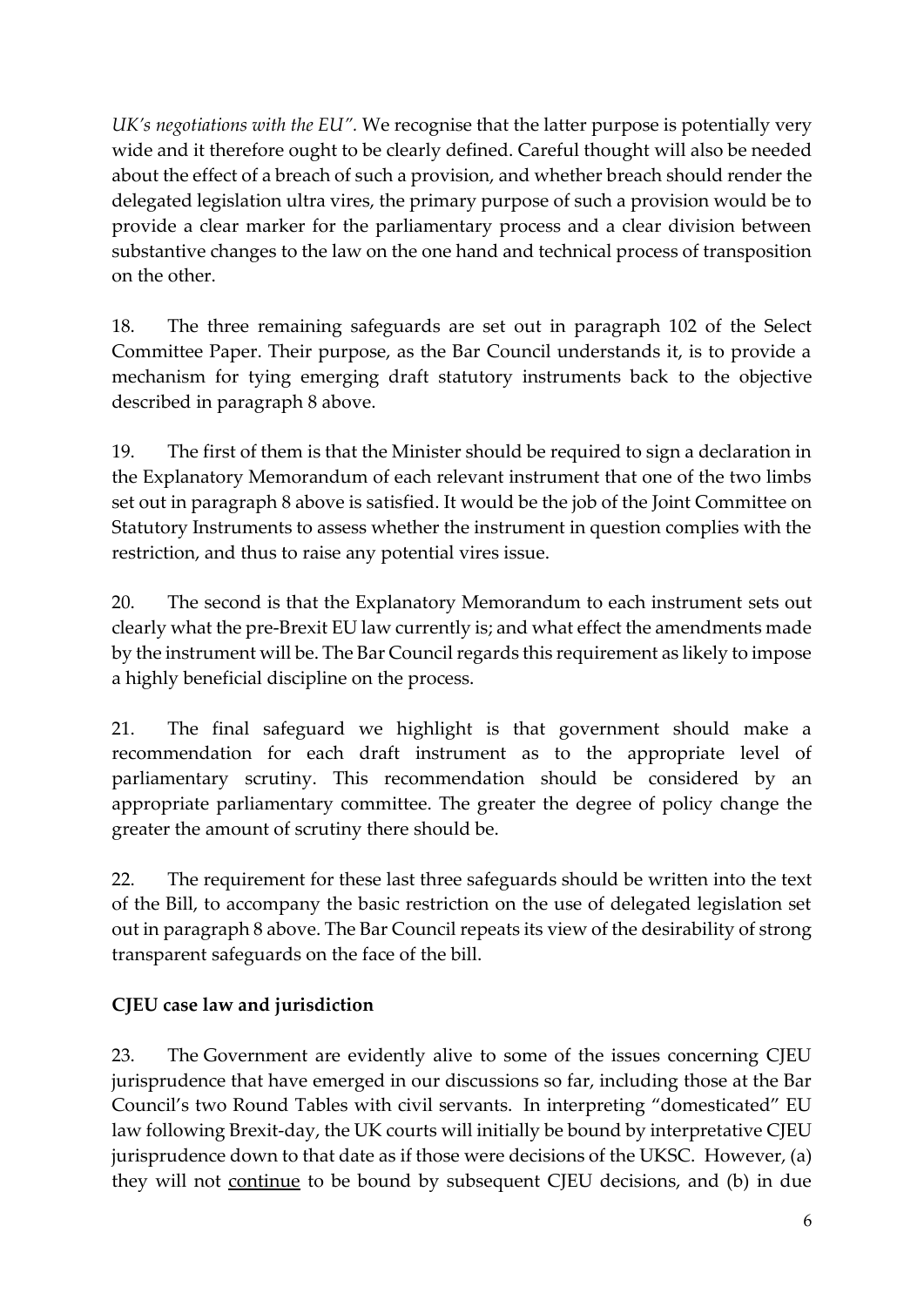*UK's negotiations with the EU".* We recognise that the latter purpose is potentially very wide and it therefore ought to be clearly defined. Careful thought will also be needed about the effect of a breach of such a provision, and whether breach should render the delegated legislation ultra vires, the primary purpose of such a provision would be to provide a clear marker for the parliamentary process and a clear division between substantive changes to the law on the one hand and technical process of transposition on the other.

18. The three remaining safeguards are set out in paragraph 102 of the Select Committee Paper. Their purpose, as the Bar Council understands it, is to provide a mechanism for tying emerging draft statutory instruments back to the objective described in paragraph 8 above.

19. The first of them is that the Minister should be required to sign a declaration in the Explanatory Memorandum of each relevant instrument that one of the two limbs set out in paragraph 8 above is satisfied. It would be the job of the Joint Committee on Statutory Instruments to assess whether the instrument in question complies with the restriction, and thus to raise any potential vires issue.

20. The second is that the Explanatory Memorandum to each instrument sets out clearly what the pre-Brexit EU law currently is; and what effect the amendments made by the instrument will be. The Bar Council regards this requirement as likely to impose a highly beneficial discipline on the process.

21. The final safeguard we highlight is that government should make a recommendation for each draft instrument as to the appropriate level of parliamentary scrutiny. This recommendation should be considered by an appropriate parliamentary committee. The greater the degree of policy change the greater the amount of scrutiny there should be.

22. The requirement for these last three safeguards should be written into the text of the Bill, to accompany the basic restriction on the use of delegated legislation set out in paragraph 8 above. The Bar Council repeats its view of the desirability of strong transparent safeguards on the face of the bill.

# **CJEU case law and jurisdiction**

23. The Government are evidently alive to some of the issues concerning CJEU jurisprudence that have emerged in our discussions so far, including those at the Bar Council's two Round Tables with civil servants. In interpreting "domesticated" EU law following Brexit-day, the UK courts will initially be bound by interpretative CJEU jurisprudence down to that date as if those were decisions of the UKSC. However, (a) they will not continue to be bound by subsequent CJEU decisions, and (b) in due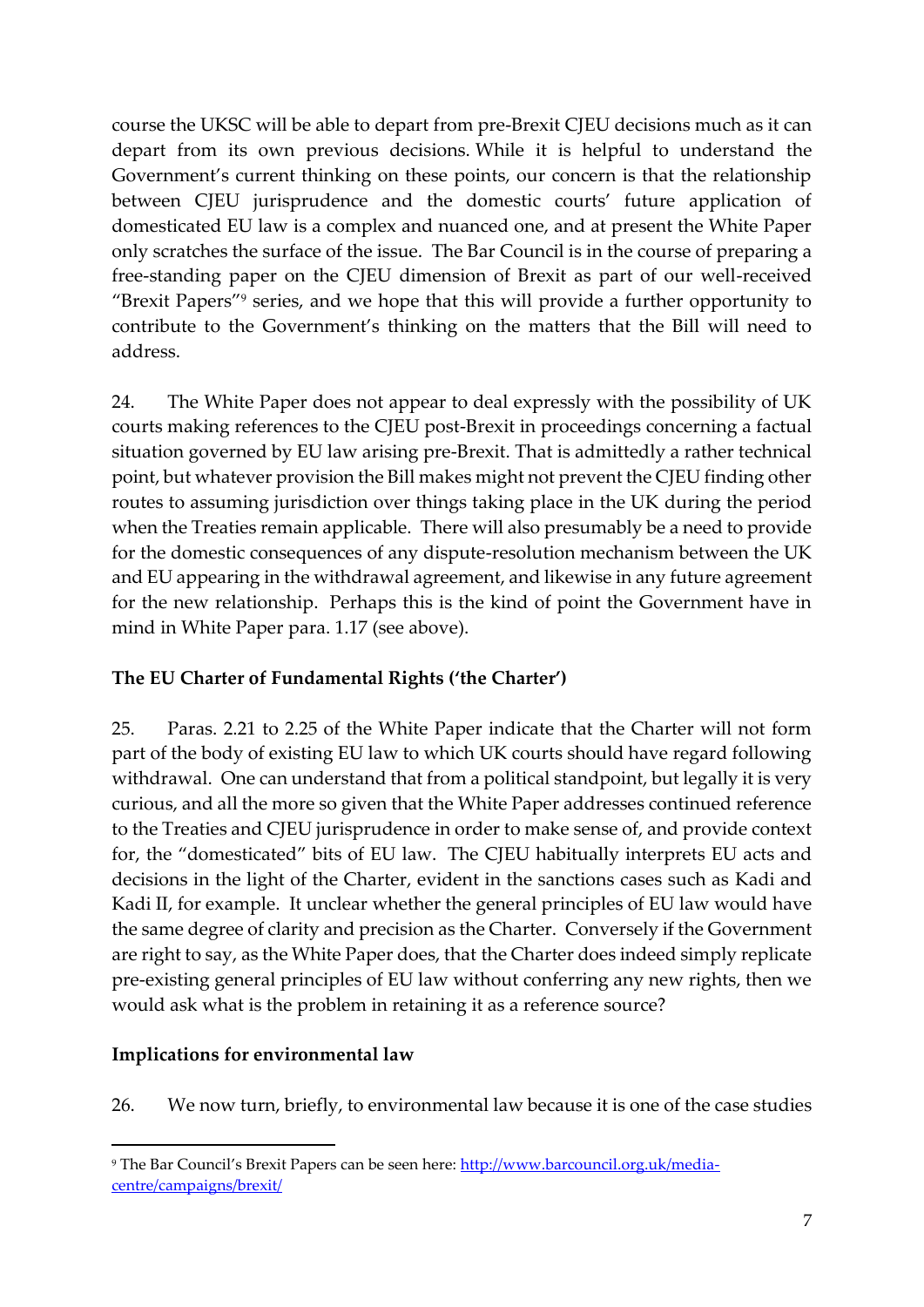course the UKSC will be able to depart from pre-Brexit CJEU decisions much as it can depart from its own previous decisions. While it is helpful to understand the Government's current thinking on these points, our concern is that the relationship between CJEU jurisprudence and the domestic courts' future application of domesticated EU law is a complex and nuanced one, and at present the White Paper only scratches the surface of the issue. The Bar Council is in the course of preparing a free-standing paper on the CJEU dimension of Brexit as part of our well-received "Brexit Papers"<sup>9</sup> series, and we hope that this will provide a further opportunity to contribute to the Government's thinking on the matters that the Bill will need to address.

24. The White Paper does not appear to deal expressly with the possibility of UK courts making references to the CJEU post-Brexit in proceedings concerning a factual situation governed by EU law arising pre-Brexit. That is admittedly a rather technical point, but whatever provision the Bill makes might not prevent the CJEU finding other routes to assuming jurisdiction over things taking place in the UK during the period when the Treaties remain applicable. There will also presumably be a need to provide for the domestic consequences of any dispute-resolution mechanism between the UK and EU appearing in the withdrawal agreement, and likewise in any future agreement for the new relationship. Perhaps this is the kind of point the Government have in mind in White Paper para. 1.17 (see above).

## **The EU Charter of Fundamental Rights ('the Charter')**

25. Paras. 2.21 to 2.25 of the White Paper indicate that the Charter will not form part of the body of existing EU law to which UK courts should have regard following withdrawal. One can understand that from a political standpoint, but legally it is very curious, and all the more so given that the White Paper addresses continued reference to the Treaties and CJEU jurisprudence in order to make sense of, and provide context for, the "domesticated" bits of EU law. The CJEU habitually interprets EU acts and decisions in the light of the Charter, evident in the sanctions cases such as Kadi and Kadi II, for example. It unclear whether the general principles of EU law would have the same degree of clarity and precision as the Charter. Conversely if the Government are right to say, as the White Paper does, that the Charter does indeed simply replicate pre-existing general principles of EU law without conferring any new rights, then we would ask what is the problem in retaining it as a reference source?

### **Implications for environmental law**

1

26. We now turn, briefly, to environmental law because it is one of the case studies

<sup>9</sup> The Bar Council's Brexit Papers can be seen here[: http://www.barcouncil.org.uk/media](http://www.barcouncil.org.uk/media-centre/campaigns/brexit/)[centre/campaigns/brexit/](http://www.barcouncil.org.uk/media-centre/campaigns/brexit/)